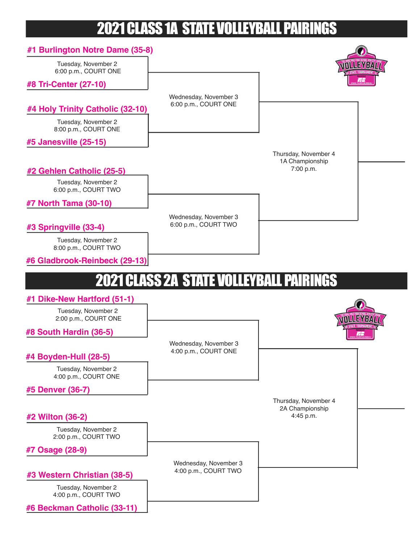## 2021 CLASS 1A STATE VOLLEYBALL PAIRINGS

| #1 Burlington Notre Dame (35-8)             |                                               |                                         |
|---------------------------------------------|-----------------------------------------------|-----------------------------------------|
| Tuesday, November 2<br>6:00 p.m., COURT ONE |                                               | <b>MULLEYBAY</b>                        |
| #8 Tri-Center (27-10)                       |                                               |                                         |
|                                             | Wednesday, November 3<br>6:00 p.m., COURT ONE |                                         |
| #4 Holy Trinity Catholic (32-10)            |                                               |                                         |
| Tuesday, November 2<br>8:00 p.m., COURT ONE |                                               |                                         |
| #5 Janesville (25-15)                       |                                               |                                         |
|                                             |                                               | Thursday, November 4<br>1A Championship |
| #2 Gehlen Catholic (25-5)                   |                                               | 7:00 p.m.                               |
| Tuesday, November 2<br>6:00 p.m., COURT TWO |                                               |                                         |
| #7 North Tama (30-10)                       |                                               |                                         |
|                                             | Wednesday, November 3                         |                                         |
| #3 Springville (33-4)                       | 6:00 p.m., COURT TWO                          |                                         |
| Tuesday, November 2<br>8:00 p.m., COURT TWO |                                               |                                         |
| #6 Gladbrook-Reinbeck (29-13)               |                                               |                                         |
|                                             | <b>2021 CLASS 2A STATE VOLLEYBALL</b>         | . PAIR                                  |
| <b>Dike-New Hartford (51-1)</b>             |                                               |                                         |
| Tuesday, November 2<br>2:00 p.m., COURT ONE |                                               | <b>MNULLEY/BANT</b>                     |
| #8 South Hardin (36-5)                      |                                               |                                         |
|                                             | Wednesday, November 3                         |                                         |
| #4 Boyden-Hull (28-5)                       | 4:00 p.m., COURT ONE                          |                                         |
| Tuesday, November 2<br>4:00 p.m., COURT ONE |                                               |                                         |
| #5 Denver (36-7)                            |                                               |                                         |
|                                             |                                               | Thursday, November 4                    |
| #2 Wilton (36-2)                            |                                               | 2A Championship<br>4:45 p.m.            |
| Tuesday, November 2<br>2:00 p.m., COURT TWO |                                               |                                         |
| #7 Osage (28-9)                             |                                               |                                         |
|                                             | Wednesday, November 3                         |                                         |
| #3 Western Christian (38-5)                 | 4:00 p.m., COURT TWO                          |                                         |
| Tuesday, November 2<br>4:00 p.m., COURT TWO |                                               |                                         |
| #6 Beckman Catholic (33-11)                 |                                               |                                         |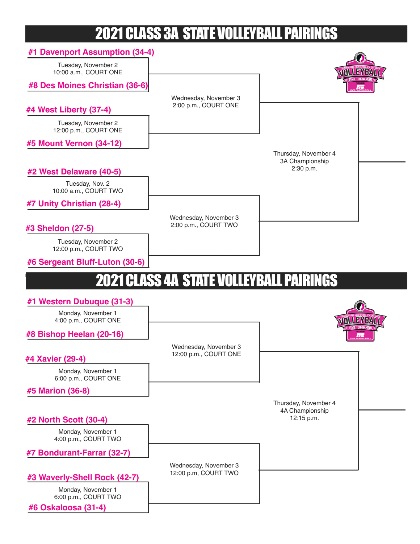## 2021 CLASS 3A STATE VOLLEYBALL PAIRINGS

| #1 Davenport Assumption (34-4)               |                                                |                                         |
|----------------------------------------------|------------------------------------------------|-----------------------------------------|
| Tuesday, November 2<br>10:00 a.m., COURT ONE |                                                | NTILLEY/BY:VI                           |
| #8 Des Moines Christian (36-6)               |                                                |                                         |
|                                              | Wednesday, November 3                          |                                         |
| #4 West Liberty (37-4)                       | 2:00 p.m., COURT ONE                           |                                         |
| Tuesday, November 2<br>12:00 p.m., COURT ONE |                                                |                                         |
| #5 Mount Vernon (34-12)                      |                                                |                                         |
|                                              |                                                | Thursday, November 4<br>3A Championship |
| #2 West Delaware (40-5)                      |                                                | 2:30 p.m.                               |
| Tuesday, Nov. 2<br>10:00 a.m., COURT TWO     |                                                |                                         |
| #7 Unity Christian (28-4)                    |                                                |                                         |
|                                              | Wednesday, November 3                          |                                         |
| #3 Sheldon (27-5)                            | 2:00 p.m., COURT TWO                           |                                         |
| Tuesday, November 2<br>12:00 p.m., COURT TWO |                                                |                                         |
| #6 Sergeant Bluff-Luton (30-6)               |                                                |                                         |
|                                              | <b>2021 CLASS 4A STATE VOLLEYBALL PAIRINGS</b> |                                         |
|                                              |                                                |                                         |
| #1 Western Dubuque (31-3)                    |                                                |                                         |
| Monday, November 1<br>4:00 p.m., COURT ONE   |                                                |                                         |
| #8 Bishop Heelan (20-16)                     |                                                |                                         |
|                                              | Wednesday, November 3                          |                                         |
| #4 Xavier (29-4)                             | 12:00 p.m., COURT ONE                          |                                         |
| Monday, November 1<br>6:00 p.m., COURT ONE   |                                                |                                         |
| #5 Marion (36-8)                             |                                                |                                         |
|                                              |                                                | Thursday, November 4<br>4A Championship |
| #2 North Scott (30-4)                        |                                                | 12:15 p.m.                              |
| Monday, November 1<br>4:00 p.m., COURT TWO   |                                                |                                         |
| #7 Bondurant-Farrar (32-7)                   |                                                |                                         |
| #3 Waverly-Shell Rock (42-7)                 | Wednesday, November 3<br>12:00 p.m, COURT TWO  |                                         |
| Monday, November 1<br>6:00 p.m., COURT TWO   |                                                |                                         |
| #6 Oskaloosa (31-4)                          |                                                |                                         |